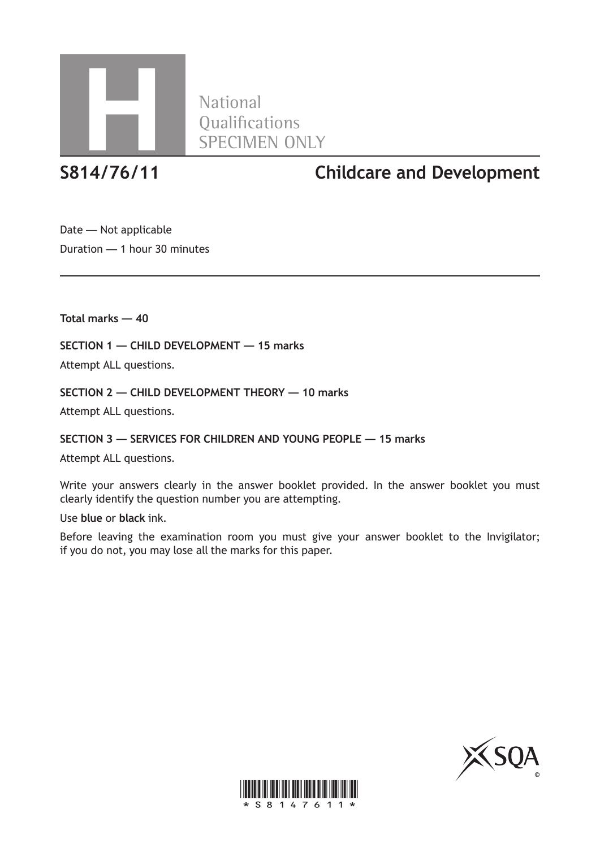

**National** 

**S814/76/11 Childcare and Development**

Date — Not applicable Duration — 1 hour 30 minutes

**Total marks — 40**

**SECTION 1 — CHILD DEVELOPMENT — 15 marks**

Attempt ALL questions.

**SECTION 2 — CHILD DEVELOPMENT THEORY — 10 marks**

Attempt ALL questions.

**SECTION 3 — SERVICES FOR CHILDREN AND YOUNG PEOPLE — 15 marks**

Attempt ALL questions.

Write your answers clearly in the answer booklet provided. In the answer booklet you must clearly identify the question number you are attempting.

Use **blue** or **black** ink.

Before leaving the examination room you must give your answer booklet to the Invigilator; if you do not, you may lose all the marks for this paper.



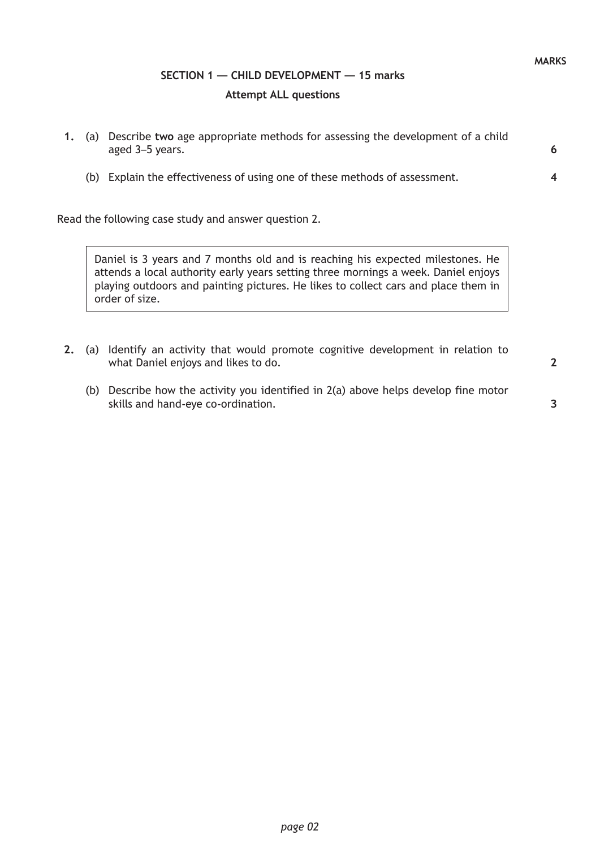# **SECTION 1 — CHILD DEVELOPMENT — 15 marks Attempt ALL questions**

- **1.** (a) Describe **two** age appropriate methods for assessing the development of a child aged 3–5 years.
	- (b) Explain the effectiveness of using one of these methods of assessment.

Read the following case study and answer question 2.

Daniel is 3 years and 7 months old and is reaching his expected milestones. He attends a local authority early years setting three mornings a week. Daniel enjoys playing outdoors and painting pictures. He likes to collect cars and place them in order of size.

- **2.** (a) Identify an activity that would promote cognitive development in relation to what Daniel enjoys and likes to do.
	- (b) Describe how the activity you identified in 2(a) above helps develop fine motor skills and hand-eye co-ordination.

**3**

**2**

**6**

**4**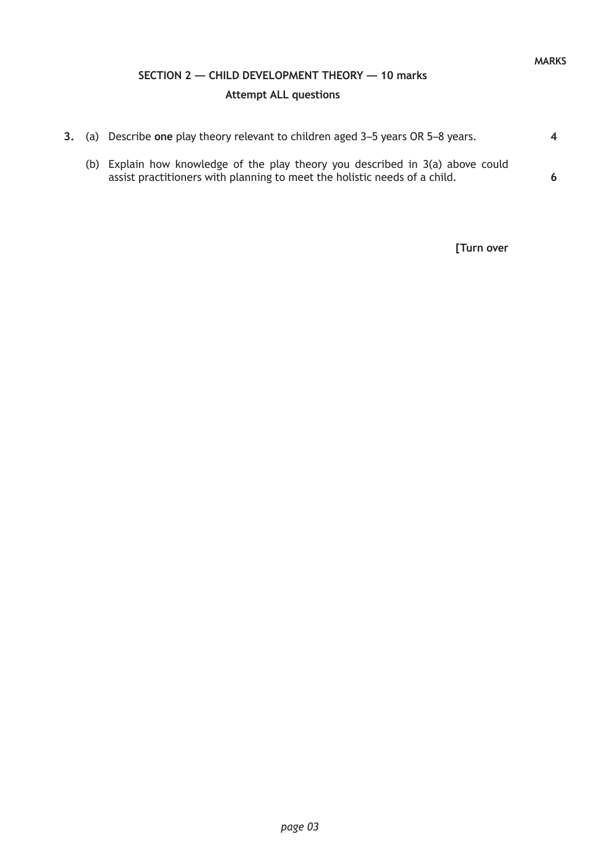#### **MARKS**

# **SECTION 2 — CHILD DEVELOPMENT THEORY — 10 marks Attempt ALL questions**

|  | 3. (a) Describe one play theory relevant to children aged 3–5 years OR 5–8 years.                                                                           | $\overline{\mathbf{4}}$ |
|--|-------------------------------------------------------------------------------------------------------------------------------------------------------------|-------------------------|
|  | (b) Explain how knowledge of the play theory you described in 3(a) above could<br>assist practitioners with planning to meet the holistic needs of a child. | 6                       |

**[Turn over**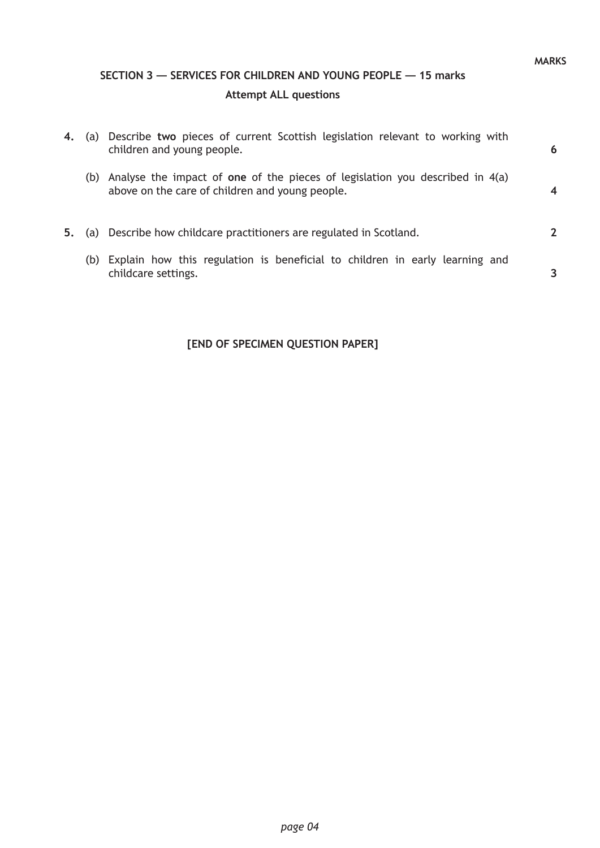# **SECTION 3 — SERVICES FOR CHILDREN AND YOUNG PEOPLE — 15 marks Attempt ALL questions**

| 4. | (a) | Describe two pieces of current Scottish legislation relevant to working with<br>children and young people.                            | 6 |
|----|-----|---------------------------------------------------------------------------------------------------------------------------------------|---|
|    |     | (b) Analyse the impact of one of the pieces of legislation you described in $4(a)$<br>above on the care of children and young people. |   |
| 5. |     | (a) Describe how childcare practitioners are regulated in Scotland.                                                                   |   |
|    |     | (b) Explain how this regulation is beneficial to children in early learning and<br>childcare settings.                                |   |

**MARKS**

## **[END OF SPECIMEN QUESTION PAPER]**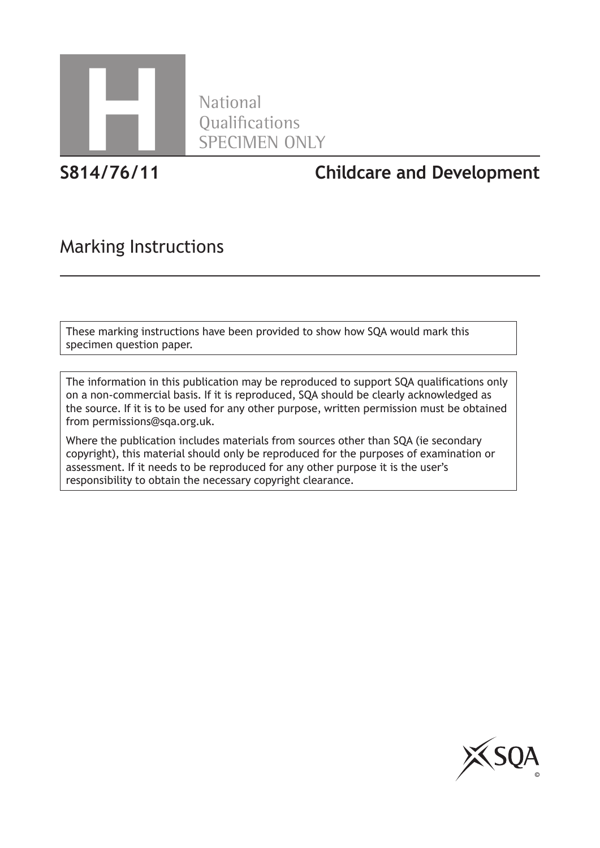

National

**S814/76/11 Childcare and Development**

# Marking Instructions

These marking instructions have been provided to show how SQA would mark this specimen question paper.

The information in this publication may be reproduced to support SQA qualifications only on a non-commercial basis. If it is reproduced, SQA should be clearly acknowledged as the source. If it is to be used for any other purpose, written permission must be obtained from permissions@sqa.org.uk.

Where the publication includes materials from sources other than SQA (ie secondary copyright), this material should only be reproduced for the purposes of examination or assessment. If it needs to be reproduced for any other purpose it is the user's responsibility to obtain the necessary copyright clearance.

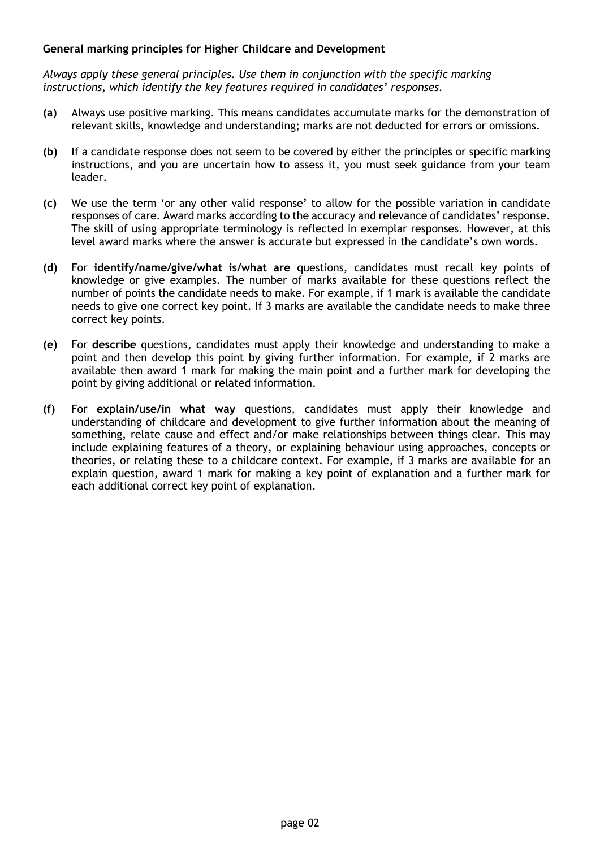#### **General marking principles for Higher Childcare and Development**

*Always apply these general principles. Use them in conjunction with the specific marking instructions, which identify the key features required in candidates' responses.*

- **(a)** Always use positive marking. This means candidates accumulate marks for the demonstration of relevant skills, knowledge and understanding; marks are not deducted for errors or omissions.
- **(b)** If a candidate response does not seem to be covered by either the principles or specific marking instructions, and you are uncertain how to assess it, you must seek guidance from your team leader.
- **(c)** We use the term 'or any other valid response' to allow for the possible variation in candidate responses of care. Award marks according to the accuracy and relevance of candidates' response. The skill of using appropriate terminology is reflected in exemplar responses. However, at this level award marks where the answer is accurate but expressed in the candidate's own words.
- **(d)** For **identify/name/give/what is/what are** questions, candidates must recall key points of knowledge or give examples. The number of marks available for these questions reflect the number of points the candidate needs to make. For example, if 1 mark is available the candidate needs to give one correct key point. If 3 marks are available the candidate needs to make three correct key points.
- **(e)** For **describe** questions, candidates must apply their knowledge and understanding to make a point and then develop this point by giving further information. For example, if 2 marks are available then award 1 mark for making the main point and a further mark for developing the point by giving additional or related information.
- **(f)** For **explain/use/in what way** questions, candidates must apply their knowledge and understanding of childcare and development to give further information about the meaning of something, relate cause and effect and/or make relationships between things clear. This may include explaining features of a theory, or explaining behaviour using approaches, concepts or theories, or relating these to a childcare context. For example, if 3 marks are available for an explain question, award 1 mark for making a key point of explanation and a further mark for each additional correct key point of explanation.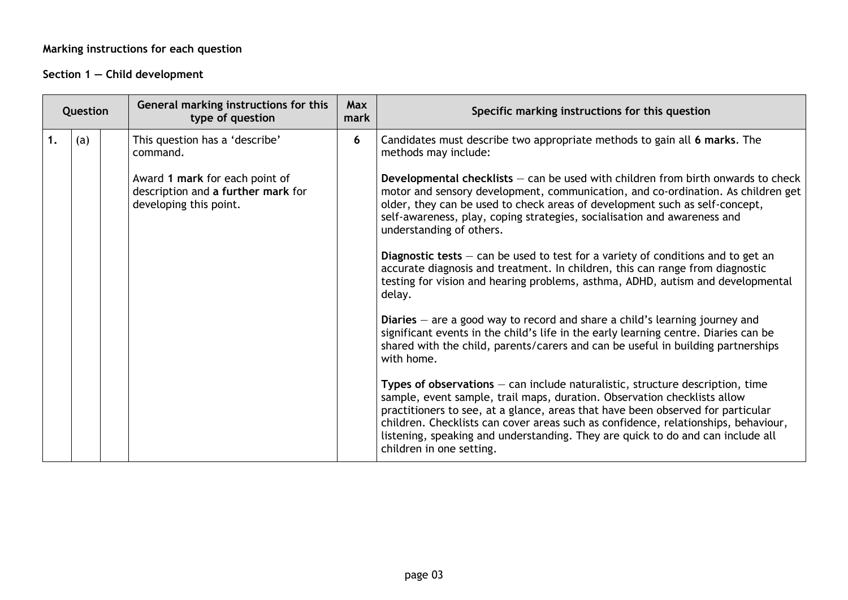## **Marking instructions for each question**

## **Section 1 — Child development**

|               | Question |  | General marking instructions for this<br>type of question                                      | Max<br>mark | Specific marking instructions for this question                                                                                                                                                                                                                                                                                                                                                                                                     |
|---------------|----------|--|------------------------------------------------------------------------------------------------|-------------|-----------------------------------------------------------------------------------------------------------------------------------------------------------------------------------------------------------------------------------------------------------------------------------------------------------------------------------------------------------------------------------------------------------------------------------------------------|
| $\mathbf 1$ . | (a)      |  | This question has a 'describe'<br>command.                                                     | 6           | Candidates must describe two appropriate methods to gain all 6 marks. The<br>methods may include:                                                                                                                                                                                                                                                                                                                                                   |
|               |          |  | Award 1 mark for each point of<br>description and a further mark for<br>developing this point. |             | Developmental checklists $-$ can be used with children from birth onwards to check<br>motor and sensory development, communication, and co-ordination. As children get<br>older, they can be used to check areas of development such as self-concept,<br>self-awareness, play, coping strategies, socialisation and awareness and<br>understanding of others.                                                                                       |
|               |          |  |                                                                                                |             | Diagnostic tests $-$ can be used to test for a variety of conditions and to get an<br>accurate diagnosis and treatment. In children, this can range from diagnostic<br>testing for vision and hearing problems, asthma, ADHD, autism and developmental<br>delay.                                                                                                                                                                                    |
|               |          |  |                                                                                                |             | Diaries $-$ are a good way to record and share a child's learning journey and<br>significant events in the child's life in the early learning centre. Diaries can be<br>shared with the child, parents/carers and can be useful in building partnerships<br>with home.                                                                                                                                                                              |
|               |          |  |                                                                                                |             | Types of observations $-$ can include naturalistic, structure description, time<br>sample, event sample, trail maps, duration. Observation checklists allow<br>practitioners to see, at a glance, areas that have been observed for particular<br>children. Checklists can cover areas such as confidence, relationships, behaviour,<br>listening, speaking and understanding. They are quick to do and can include all<br>children in one setting. |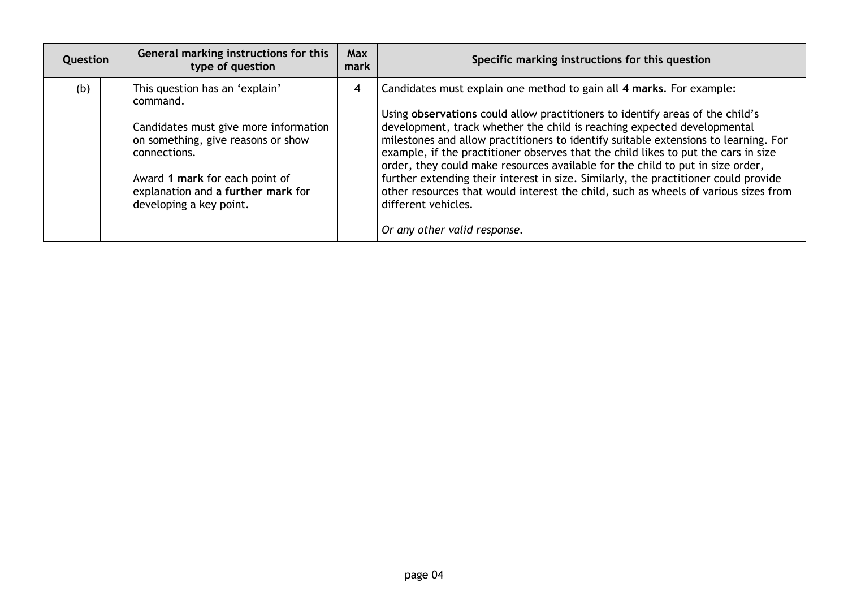| Question | General marking instructions for this<br>type of question                                                                                                                                                                                    | Max<br>mark | Specific marking instructions for this question                                                                                                                                                                                                                                                                                                                                                                                                                                                                                                                                                                                                                                                                                      |
|----------|----------------------------------------------------------------------------------------------------------------------------------------------------------------------------------------------------------------------------------------------|-------------|--------------------------------------------------------------------------------------------------------------------------------------------------------------------------------------------------------------------------------------------------------------------------------------------------------------------------------------------------------------------------------------------------------------------------------------------------------------------------------------------------------------------------------------------------------------------------------------------------------------------------------------------------------------------------------------------------------------------------------------|
| (b)      | This question has an 'explain'<br>command.<br>Candidates must give more information<br>on something, give reasons or show<br>connections.<br>Award 1 mark for each point of<br>explanation and a further mark for<br>developing a key point. | 4           | Candidates must explain one method to gain all 4 marks. For example:<br>Using observations could allow practitioners to identify areas of the child's<br>development, track whether the child is reaching expected developmental<br>milestones and allow practitioners to identify suitable extensions to learning. For<br>example, if the practitioner observes that the child likes to put the cars in size<br>order, they could make resources available for the child to put in size order,<br>further extending their interest in size. Similarly, the practitioner could provide<br>other resources that would interest the child, such as wheels of various sizes from<br>different vehicles.<br>Or any other valid response. |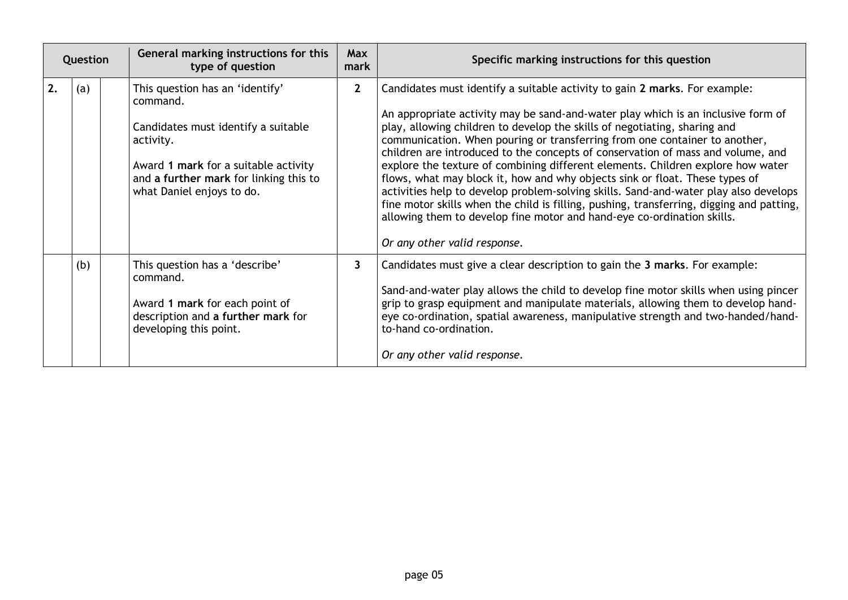|    | Question | General marking instructions for this<br>type of question                                                                                                                                                      | <b>Max</b><br>mark | Specific marking instructions for this question                                                                                                                                                                                                                                                                                                                                                                                                                                                                                                                                                                                                                                                                                                                                                                                                                              |
|----|----------|----------------------------------------------------------------------------------------------------------------------------------------------------------------------------------------------------------------|--------------------|------------------------------------------------------------------------------------------------------------------------------------------------------------------------------------------------------------------------------------------------------------------------------------------------------------------------------------------------------------------------------------------------------------------------------------------------------------------------------------------------------------------------------------------------------------------------------------------------------------------------------------------------------------------------------------------------------------------------------------------------------------------------------------------------------------------------------------------------------------------------------|
| 2. | (a)      | This question has an 'identify'<br>command.<br>Candidates must identify a suitable<br>activity.<br>Award 1 mark for a suitable activity<br>and a further mark for linking this to<br>what Daniel enjoys to do. | $\mathbf{2}$       | Candidates must identify a suitable activity to gain 2 marks. For example:<br>An appropriate activity may be sand-and-water play which is an inclusive form of<br>play, allowing children to develop the skills of negotiating, sharing and<br>communication. When pouring or transferring from one container to another,<br>children are introduced to the concepts of conservation of mass and volume, and<br>explore the texture of combining different elements. Children explore how water<br>flows, what may block it, how and why objects sink or float. These types of<br>activities help to develop problem-solving skills. Sand-and-water play also develops<br>fine motor skills when the child is filling, pushing, transferring, digging and patting,<br>allowing them to develop fine motor and hand-eye co-ordination skills.<br>Or any other valid response. |
|    | (b)      | This question has a 'describe'<br>command.<br>Award 1 mark for each point of<br>description and a further mark for<br>developing this point.                                                                   | $\mathbf{3}$       | Candidates must give a clear description to gain the 3 marks. For example:<br>Sand-and-water play allows the child to develop fine motor skills when using pincer<br>grip to grasp equipment and manipulate materials, allowing them to develop hand-<br>eye co-ordination, spatial awareness, manipulative strength and two-handed/hand-<br>to-hand co-ordination.<br>Or any other valid response.                                                                                                                                                                                                                                                                                                                                                                                                                                                                          |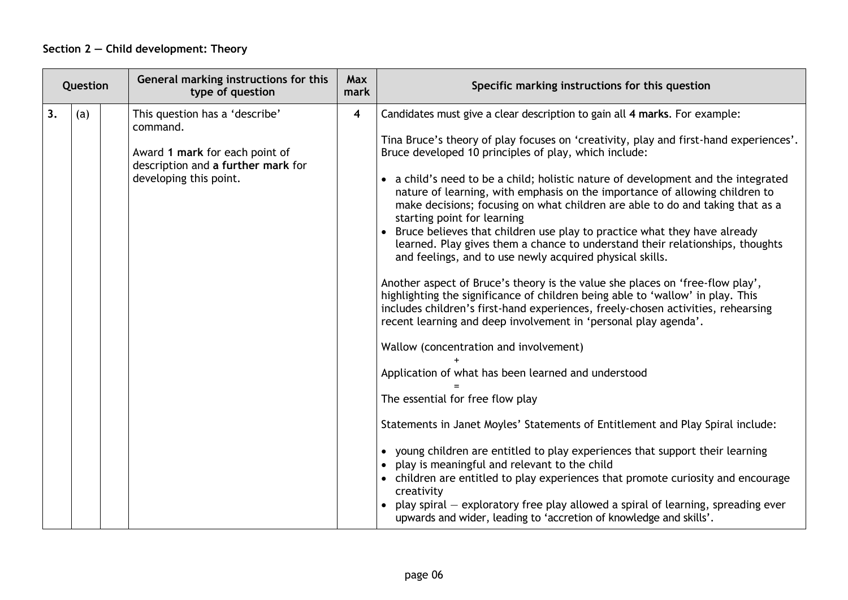## **Section 2 — Child development: Theory**

| Question |     | General marking instructions for this<br>type of question                                                                                    | <b>Max</b><br>mark      | Specific marking instructions for this question                                                                                                                                                                                                                                                                                                                                                                                                                                                                                                                                                                                                                                                                                                                                                                                                                                                                                                                                                                                                                                                                                                                                                                                                                                                                                                                                                                                                                                                                                                                                                                                                                                           |
|----------|-----|----------------------------------------------------------------------------------------------------------------------------------------------|-------------------------|-------------------------------------------------------------------------------------------------------------------------------------------------------------------------------------------------------------------------------------------------------------------------------------------------------------------------------------------------------------------------------------------------------------------------------------------------------------------------------------------------------------------------------------------------------------------------------------------------------------------------------------------------------------------------------------------------------------------------------------------------------------------------------------------------------------------------------------------------------------------------------------------------------------------------------------------------------------------------------------------------------------------------------------------------------------------------------------------------------------------------------------------------------------------------------------------------------------------------------------------------------------------------------------------------------------------------------------------------------------------------------------------------------------------------------------------------------------------------------------------------------------------------------------------------------------------------------------------------------------------------------------------------------------------------------------------|
| 3.       | (a) | This question has a 'describe'<br>command.<br>Award 1 mark for each point of<br>description and a further mark for<br>developing this point. | $\overline{\mathbf{4}}$ | Candidates must give a clear description to gain all 4 marks. For example:<br>Tina Bruce's theory of play focuses on 'creativity, play and first-hand experiences'.<br>Bruce developed 10 principles of play, which include:<br>• a child's need to be a child; holistic nature of development and the integrated<br>nature of learning, with emphasis on the importance of allowing children to<br>make decisions; focusing on what children are able to do and taking that as a<br>starting point for learning<br>• Bruce believes that children use play to practice what they have already<br>learned. Play gives them a chance to understand their relationships, thoughts<br>and feelings, and to use newly acquired physical skills.<br>Another aspect of Bruce's theory is the value she places on 'free-flow play',<br>highlighting the significance of children being able to 'wallow' in play. This<br>includes children's first-hand experiences, freely-chosen activities, rehearsing<br>recent learning and deep involvement in 'personal play agenda'.<br>Wallow (concentration and involvement)<br>Application of what has been learned and understood<br>The essential for free flow play<br>Statements in Janet Moyles' Statements of Entitlement and Play Spiral include:<br>• young children are entitled to play experiences that support their learning<br>play is meaningful and relevant to the child<br>• children are entitled to play experiences that promote curiosity and encourage<br>creativity<br>play spiral – exploratory free play allowed a spiral of learning, spreading ever<br>upwards and wider, leading to 'accretion of knowledge and skills'. |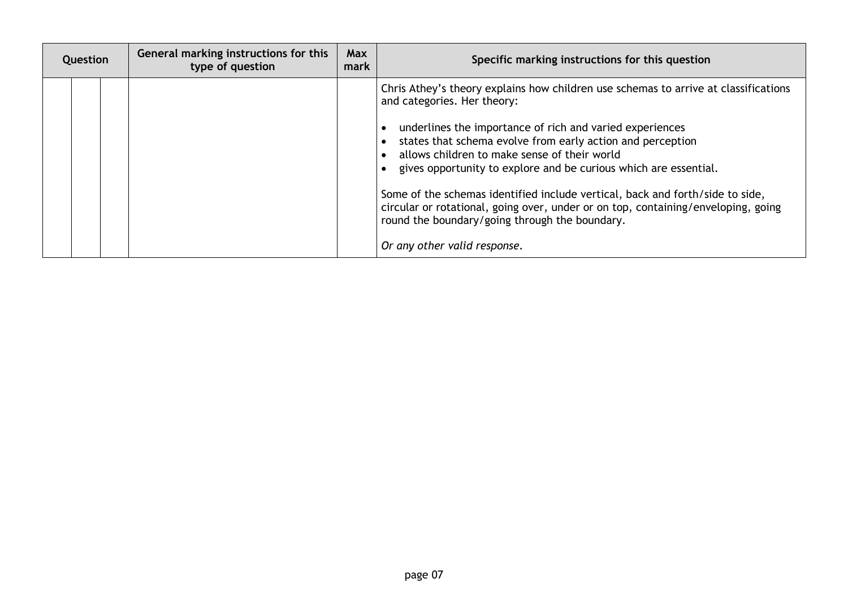| Question | General marking instructions for this<br>type of question | <b>Max</b><br>mark | Specific marking instructions for this question                                                                                                                                                                                                                                                                                                                                                                                                                                                                                                                                                                          |
|----------|-----------------------------------------------------------|--------------------|--------------------------------------------------------------------------------------------------------------------------------------------------------------------------------------------------------------------------------------------------------------------------------------------------------------------------------------------------------------------------------------------------------------------------------------------------------------------------------------------------------------------------------------------------------------------------------------------------------------------------|
|          |                                                           |                    | Chris Athey's theory explains how children use schemas to arrive at classifications<br>and categories. Her theory:<br>underlines the importance of rich and varied experiences<br>states that schema evolve from early action and perception<br>allows children to make sense of their world<br>gives opportunity to explore and be curious which are essential.<br>Some of the schemas identified include vertical, back and forth/side to side,<br>circular or rotational, going over, under or on top, containing/enveloping, going<br>round the boundary/going through the boundary.<br>Or any other valid response. |
|          |                                                           |                    |                                                                                                                                                                                                                                                                                                                                                                                                                                                                                                                                                                                                                          |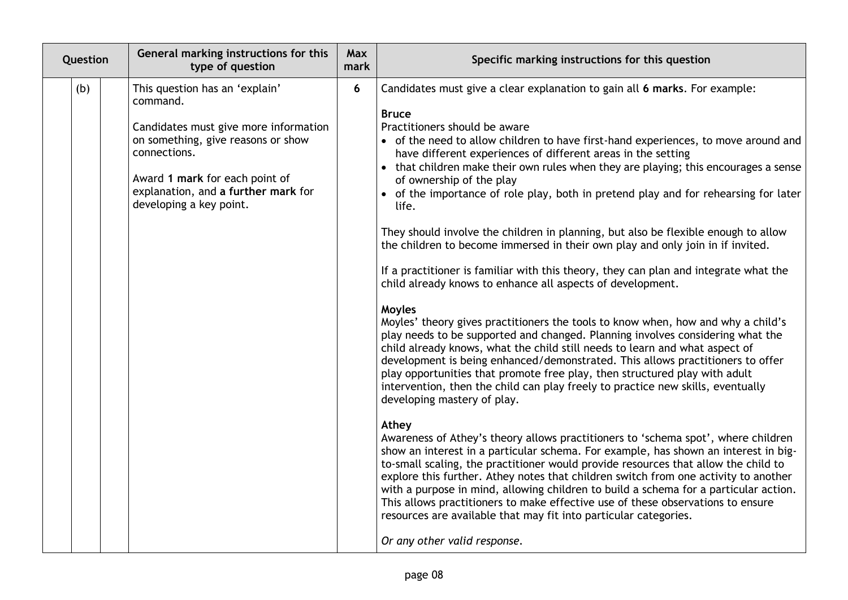| Question | General marking instructions for this<br>type of question                                                                                                                                                                                     | <b>Max</b><br>mark | Specific marking instructions for this question                                                                                                                                                                                                                                                                                                                                                                                                                                                                                                                                                                                                                                                                                                                                                                                                                                                                                                                                                                                                                                                                                                                                                                                                                                                                                                                                                                                                                                                                                                                                                                                                                                                                                                                                                                                                                                                                                                                                                                                      |
|----------|-----------------------------------------------------------------------------------------------------------------------------------------------------------------------------------------------------------------------------------------------|--------------------|--------------------------------------------------------------------------------------------------------------------------------------------------------------------------------------------------------------------------------------------------------------------------------------------------------------------------------------------------------------------------------------------------------------------------------------------------------------------------------------------------------------------------------------------------------------------------------------------------------------------------------------------------------------------------------------------------------------------------------------------------------------------------------------------------------------------------------------------------------------------------------------------------------------------------------------------------------------------------------------------------------------------------------------------------------------------------------------------------------------------------------------------------------------------------------------------------------------------------------------------------------------------------------------------------------------------------------------------------------------------------------------------------------------------------------------------------------------------------------------------------------------------------------------------------------------------------------------------------------------------------------------------------------------------------------------------------------------------------------------------------------------------------------------------------------------------------------------------------------------------------------------------------------------------------------------------------------------------------------------------------------------------------------------|
| (b)      | This question has an 'explain'<br>command.<br>Candidates must give more information<br>on something, give reasons or show<br>connections.<br>Award 1 mark for each point of<br>explanation, and a further mark for<br>developing a key point. | 6                  | Candidates must give a clear explanation to gain all 6 marks. For example:<br><b>Bruce</b><br>Practitioners should be aware<br>• of the need to allow children to have first-hand experiences, to move around and<br>have different experiences of different areas in the setting<br>• that children make their own rules when they are playing; this encourages a sense<br>of ownership of the play<br>• of the importance of role play, both in pretend play and for rehearsing for later<br>life.<br>They should involve the children in planning, but also be flexible enough to allow<br>the children to become immersed in their own play and only join in if invited.<br>If a practitioner is familiar with this theory, they can plan and integrate what the<br>child already knows to enhance all aspects of development.<br>Moyles<br>Moyles' theory gives practitioners the tools to know when, how and why a child's<br>play needs to be supported and changed. Planning involves considering what the<br>child already knows, what the child still needs to learn and what aspect of<br>development is being enhanced/demonstrated. This allows practitioners to offer<br>play opportunities that promote free play, then structured play with adult<br>intervention, then the child can play freely to practice new skills, eventually<br>developing mastery of play.<br>Athey<br>Awareness of Athey's theory allows practitioners to 'schema spot', where children<br>show an interest in a particular schema. For example, has shown an interest in big-<br>to-small scaling, the practitioner would provide resources that allow the child to<br>explore this further. Athey notes that children switch from one activity to another<br>with a purpose in mind, allowing children to build a schema for a particular action.<br>This allows practitioners to make effective use of these observations to ensure<br>resources are available that may fit into particular categories.<br>Or any other valid response. |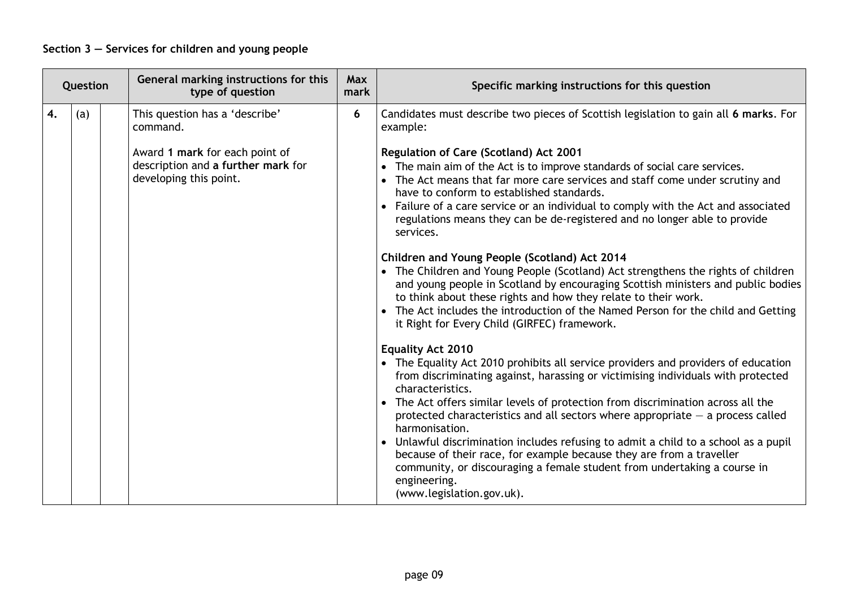| Question |     | General marking instructions for this<br>type of question                                      | Max<br>mark | Specific marking instructions for this question                                                                                                                                                                                                                                                                                                                                                                                                                                                                                                                                                                                                                                                                                                                                                                                                                                               |
|----------|-----|------------------------------------------------------------------------------------------------|-------------|-----------------------------------------------------------------------------------------------------------------------------------------------------------------------------------------------------------------------------------------------------------------------------------------------------------------------------------------------------------------------------------------------------------------------------------------------------------------------------------------------------------------------------------------------------------------------------------------------------------------------------------------------------------------------------------------------------------------------------------------------------------------------------------------------------------------------------------------------------------------------------------------------|
| 4.       | (a) | This question has a 'describe'<br>command.                                                     | 6           | Candidates must describe two pieces of Scottish legislation to gain all 6 marks. For<br>example:                                                                                                                                                                                                                                                                                                                                                                                                                                                                                                                                                                                                                                                                                                                                                                                              |
|          |     | Award 1 mark for each point of<br>description and a further mark for<br>developing this point. |             | Regulation of Care (Scotland) Act 2001<br>• The main aim of the Act is to improve standards of social care services.<br>• The Act means that far more care services and staff come under scrutiny and<br>have to conform to established standards.<br>• Failure of a care service or an individual to comply with the Act and associated<br>regulations means they can be de-registered and no longer able to provide<br>services.<br>Children and Young People (Scotland) Act 2014<br>• The Children and Young People (Scotland) Act strengthens the rights of children<br>and young people in Scotland by encouraging Scottish ministers and public bodies<br>to think about these rights and how they relate to their work.<br>The Act includes the introduction of the Named Person for the child and Getting<br>it Right for Every Child (GIRFEC) framework.<br><b>Equality Act 2010</b> |
|          |     |                                                                                                |             | • The Equality Act 2010 prohibits all service providers and providers of education<br>from discriminating against, harassing or victimising individuals with protected<br>characteristics.<br>• The Act offers similar levels of protection from discrimination across all the<br>protected characteristics and all sectors where appropriate $-$ a process called<br>harmonisation.<br>• Unlawful discrimination includes refusing to admit a child to a school as a pupil<br>because of their race, for example because they are from a traveller<br>community, or discouraging a female student from undertaking a course in<br>engineering.<br>(www.legislation.gov.uk).                                                                                                                                                                                                                  |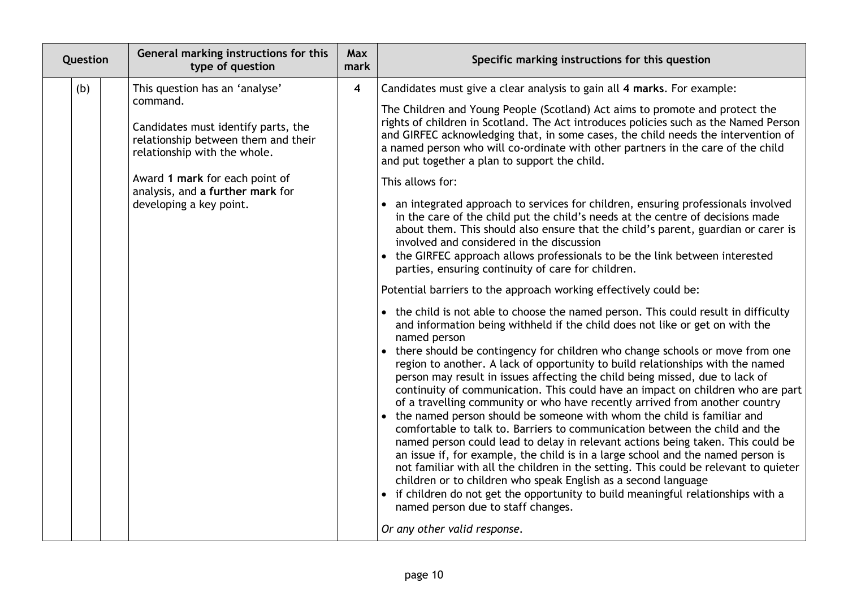| Question | General marking instructions for this<br>type of question                                                                                                                                                                                                 | Max<br>mark             | Specific marking instructions for this question                                                                                                                                                                                                                                                                                                                                                                                                                                                                                                                                                                                                                                                                                                                                                                                                                                                                                                                                                                                                                                                                                                                                                                                                                                                                                                                                                                                                                                                                                                                                                                                                                                                                                                                                                                                                                                                                                                                                                                                                                                                                                                                                                                                                                                   |
|----------|-----------------------------------------------------------------------------------------------------------------------------------------------------------------------------------------------------------------------------------------------------------|-------------------------|-----------------------------------------------------------------------------------------------------------------------------------------------------------------------------------------------------------------------------------------------------------------------------------------------------------------------------------------------------------------------------------------------------------------------------------------------------------------------------------------------------------------------------------------------------------------------------------------------------------------------------------------------------------------------------------------------------------------------------------------------------------------------------------------------------------------------------------------------------------------------------------------------------------------------------------------------------------------------------------------------------------------------------------------------------------------------------------------------------------------------------------------------------------------------------------------------------------------------------------------------------------------------------------------------------------------------------------------------------------------------------------------------------------------------------------------------------------------------------------------------------------------------------------------------------------------------------------------------------------------------------------------------------------------------------------------------------------------------------------------------------------------------------------------------------------------------------------------------------------------------------------------------------------------------------------------------------------------------------------------------------------------------------------------------------------------------------------------------------------------------------------------------------------------------------------------------------------------------------------------------------------------------------------|
| (b)      | This question has an 'analyse'<br>command.<br>Candidates must identify parts, the<br>relationship between them and their<br>relationship with the whole.<br>Award 1 mark for each point of<br>analysis, and a further mark for<br>developing a key point. | $\overline{\mathbf{4}}$ | Candidates must give a clear analysis to gain all 4 marks. For example:<br>The Children and Young People (Scotland) Act aims to promote and protect the<br>rights of children in Scotland. The Act introduces policies such as the Named Person<br>and GIRFEC acknowledging that, in some cases, the child needs the intervention of<br>a named person who will co-ordinate with other partners in the care of the child<br>and put together a plan to support the child.<br>This allows for:<br>• an integrated approach to services for children, ensuring professionals involved<br>in the care of the child put the child's needs at the centre of decisions made<br>about them. This should also ensure that the child's parent, guardian or carer is<br>involved and considered in the discussion<br>• the GIRFEC approach allows professionals to be the link between interested<br>parties, ensuring continuity of care for children.<br>Potential barriers to the approach working effectively could be:<br>• the child is not able to choose the named person. This could result in difficulty<br>and information being withheld if the child does not like or get on with the<br>named person<br>• there should be contingency for children who change schools or move from one<br>region to another. A lack of opportunity to build relationships with the named<br>person may result in issues affecting the child being missed, due to lack of<br>continuity of communication. This could have an impact on children who are part<br>of a travelling community or who have recently arrived from another country<br>the named person should be someone with whom the child is familiar and<br>comfortable to talk to. Barriers to communication between the child and the<br>named person could lead to delay in relevant actions being taken. This could be<br>an issue if, for example, the child is in a large school and the named person is<br>not familiar with all the children in the setting. This could be relevant to quieter<br>children or to children who speak English as a second language<br>if children do not get the opportunity to build meaningful relationships with a<br>named person due to staff changes.<br>Or any other valid response. |